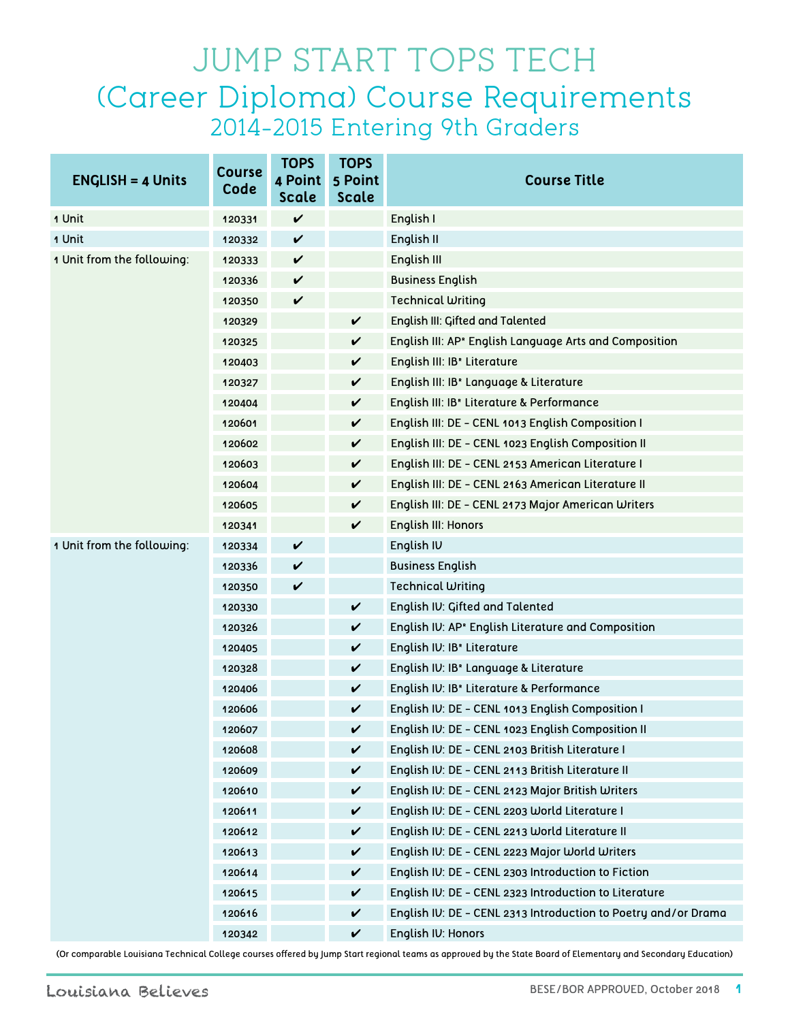## JUMP START TOPS TECH (Career Diploma) Course Requirements 2014-2015 Entering 9th Graders

| $ENGLISH = 4 Units$        | <b>Course</b><br>Code | <b>TOPS</b><br>4 Point<br>Scale | <b>TOPS</b><br>5 Point<br>Scale | <b>Course Title</b>                                                |
|----------------------------|-----------------------|---------------------------------|---------------------------------|--------------------------------------------------------------------|
| 1 Unit                     | 120331                | $\checkmark$                    |                                 | English I                                                          |
| 1 Unit                     | 120332                | $\checkmark$                    |                                 | English II                                                         |
| 1 Unit from the following: | 120333                | $\checkmark$                    |                                 | English III                                                        |
|                            | 120336                | $\checkmark$                    |                                 | <b>Business English</b>                                            |
|                            | 120350                | $\checkmark$                    |                                 | Technical Writing                                                  |
|                            | 120329                |                                 | $\checkmark$                    | English III: Gifted and Talented                                   |
|                            | 120325                |                                 | $\checkmark$                    | English III: AP <sup>®</sup> English Language Arts and Composition |
|                            | 120403                |                                 | $\checkmark$                    | English III: IB <sup>®</sup> Literature                            |
|                            | 120327                |                                 | V                               | English III: IB <sup>®</sup> Language & Literature                 |
|                            | 120404                |                                 | $\checkmark$                    | English III: IB <sup>®</sup> Literature & Performance              |
|                            | 120601                |                                 | V                               | English III: DE - CENL 1013 English Composition I                  |
|                            | 120602                |                                 | V                               | English III: DE - CENL 1023 English Composition II                 |
|                            | 120603                |                                 | $\checkmark$                    | English III: DE - CENL 2153 American Literature I                  |
|                            | 120604                |                                 | V                               | English III: DE - CENL 2163 American Literature II                 |
|                            | 120605                |                                 | V                               | English III: DE - CENL 2173 Major American Writers                 |
|                            | 120341                |                                 | V                               | English III: Honors                                                |
| 1 Unit from the following: | 120334                | $\checkmark$                    |                                 | English IV                                                         |
|                            | 120336                | $\checkmark$                    |                                 | <b>Business English</b>                                            |
|                            | 120350                | $\checkmark$                    |                                 | Technical Writing                                                  |
|                            | 120330                |                                 | $\checkmark$                    | English IV: Gifted and Talented                                    |
|                            | 120326                |                                 | $\checkmark$                    | English IV: AP <sup>®</sup> English Literature and Composition     |
|                            | 120405                |                                 | V                               | English IV: IB <sup>®</sup> Literature                             |
|                            | 120328                |                                 | $\checkmark$                    | English IV: IB <sup>®</sup> Language & Literature                  |
|                            | 120406                |                                 | V                               | English IV: IB <sup>®</sup> Literature & Performance               |
|                            | 120606                |                                 | V                               | English IV: DE - CENL 1013 English Composition I                   |
|                            | 120607                |                                 | V                               | English IV: DE - CENL 1023 English Composition II                  |
|                            | 120608                |                                 | $\checkmark$                    | English IV: DE - CENL 2103 British Literature I                    |
|                            | 120609                |                                 | $\checkmark$                    | English IV: DE - CENL 2113 British Literature II                   |
|                            | 120610                |                                 | $\checkmark$                    | English IV: DE - CENL 2123 Major British Writers                   |
|                            | 120611                |                                 | V                               | English IV: DE - CENL 2203 World Literature I                      |
|                            | 120612                |                                 | V                               | English IV: DE - CENL 2213 World Literature II                     |
|                            | 120613                |                                 | $\checkmark$                    | English IV: DE - CENL 2223 Major World Writers                     |
|                            | 120614                |                                 | V                               | English IV: DE - CENL 2303 Introduction to Fiction                 |
|                            | 120615                |                                 | V                               | English IV: DE - CENL 2323 Introduction to Literature              |
|                            | 120616                |                                 | $\checkmark$                    | English IV: DE - CENL 2313 Introduction to Poetry and/or Drama     |
|                            | 120342                |                                 | V                               | English IV: Honors                                                 |

(Or comparable Louisiana Technical College courses offered by Jump Start regional teams as approved by the State Board of Elementary and Secondary Education)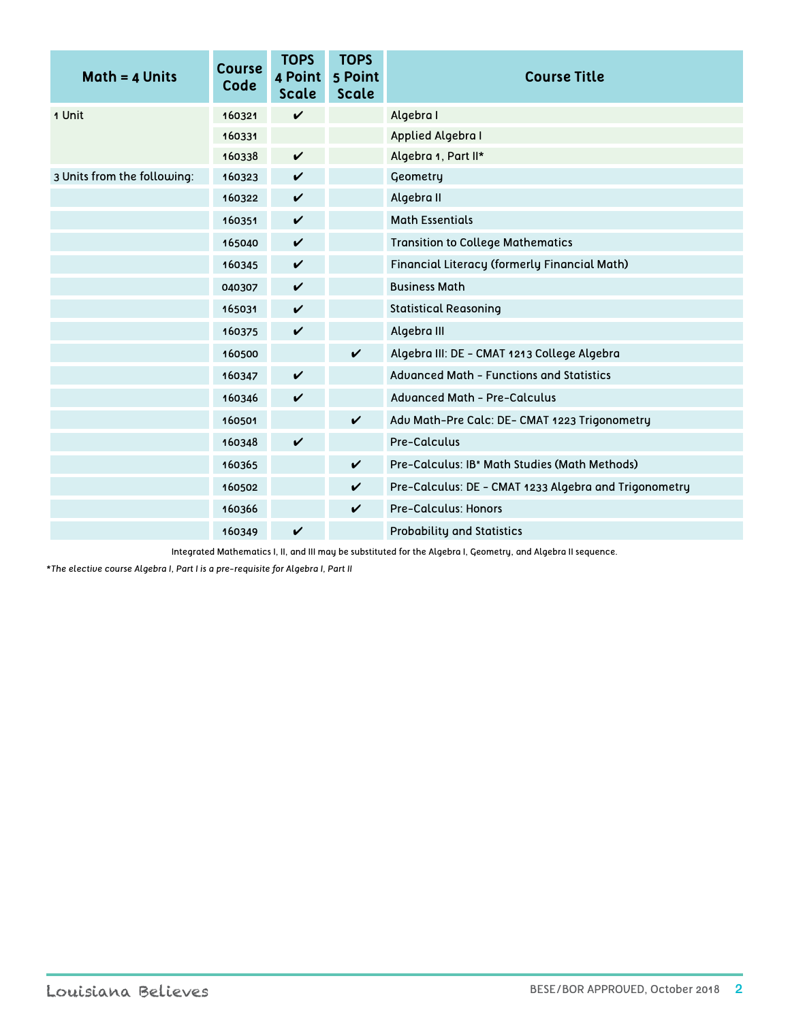| $Math = 4$ Units            | <b>Course</b><br>Code | <b>TOPS</b><br>4 Point<br>Scale | <b>TOPS</b><br>5 Point<br><b>Scale</b> | <b>Course Title</b>                                       |
|-----------------------------|-----------------------|---------------------------------|----------------------------------------|-----------------------------------------------------------|
| 1 Unit                      | 160321                | $\checkmark$                    |                                        | Algebra I                                                 |
|                             | 160331                |                                 |                                        | Applied Algebra I                                         |
|                             | 160338                | $\checkmark$                    |                                        | Algebra 1, Part II*                                       |
| 3 Units from the following: | 160323                | $\checkmark$                    |                                        | Geometry                                                  |
|                             | 160322                | $\checkmark$                    |                                        | Algebra II                                                |
|                             | 160351                | $\checkmark$                    |                                        | <b>Math Essentials</b>                                    |
|                             | 165040                | $\checkmark$                    |                                        | <b>Transition to College Mathematics</b>                  |
|                             | 160345                | $\checkmark$                    |                                        | Financial Literacy (formerly Financial Math)              |
|                             | 040307                | $\checkmark$                    |                                        | <b>Business Math</b>                                      |
|                             | 165031                | $\checkmark$                    |                                        | <b>Statistical Reasoning</b>                              |
|                             | 160375                | $\checkmark$                    |                                        | Algebra III                                               |
|                             | 160500                |                                 | $\checkmark$                           | Algebra III: DE - CMAT 1213 College Algebra               |
|                             | 160347                | $\checkmark$                    |                                        | Advanced Math - Functions and Statistics                  |
|                             | 160346                | $\checkmark$                    |                                        | <b>Advanced Math - Pre-Calculus</b>                       |
|                             | 160501                |                                 | $\boldsymbol{\mathcal{U}}$             | Adu Math-Pre Calc: DE- CMAT 1223 Trigonometry             |
|                             | 160348                | $\checkmark$                    |                                        | Pre-Calculus                                              |
|                             | 160365                |                                 | $\checkmark$                           | Pre-Calculus: IB <sup>®</sup> Math Studies (Math Methods) |
|                             | 160502                |                                 | $\checkmark$                           | Pre-Calculus: DE - CMAT 1233 Algebra and Trigonometry     |
|                             | 160366                |                                 | $\checkmark$                           | <b>Pre-Calculus: Honors</b>                               |
|                             | 160349                | V                               |                                        | <b>Probability and Statistics</b>                         |

Integrated Mathematics I, II, and III may be substituted for the Algebra I, Geometry, and Algebra II sequence.

*\*The elective course Algebra I, Part I is a pre-requisite for Algebra I, Part II*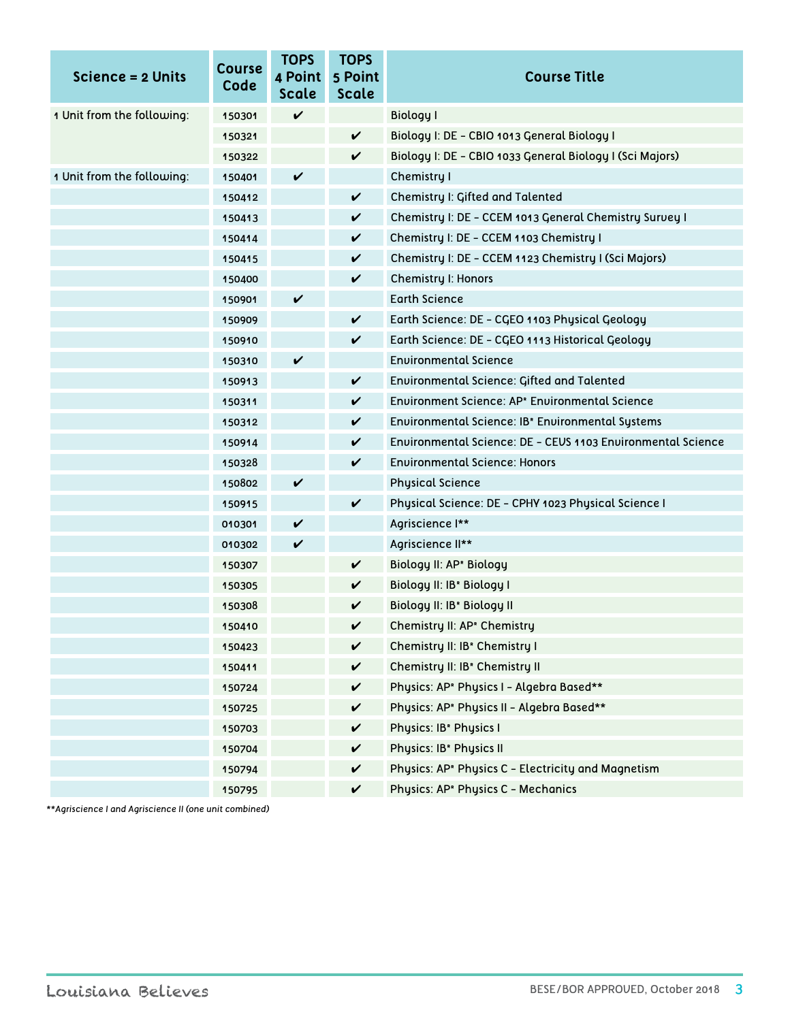| Science = 2 Units          | <b>Course</b><br>Code | <b>TOPS</b><br>4 Point<br>Scale | <b>TOPS</b><br>5 Point<br><b>Scale</b> | <b>Course Title</b>                                            |
|----------------------------|-----------------------|---------------------------------|----------------------------------------|----------------------------------------------------------------|
| 1 Unit from the following: | 150301                | V                               |                                        | Biology I                                                      |
|                            | 150321                |                                 | $\checkmark$                           | Biology I: DE - CBIO 1013 General Biology I                    |
|                            | 150322                |                                 | V                                      | Biology I: DE - CBIO 1033 General Biology I (Sci Majors)       |
| 1 Unit from the following: | 150401                | $\checkmark$                    |                                        | Chemistry I                                                    |
|                            | 150412                |                                 | $\checkmark$                           | Chemistry I: Gifted and Talented                               |
|                            | 150413                |                                 | V                                      | Chemistry I: DE - CCEM 1013 General Chemistry Survey I         |
|                            | 150414                |                                 | V                                      | Chemistry I: DE - CCEM 1103 Chemistry I                        |
|                            | 150415                |                                 | V                                      | Chemistry I: DE - CCEM 1123 Chemistry I (Sci Majors)           |
|                            | 150400                |                                 | V                                      | <b>Chemistry I: Honors</b>                                     |
|                            | 150901                | V                               |                                        | <b>Earth Science</b>                                           |
|                            | 150909                |                                 | V                                      | Earth Science: DE - CGEO 1103 Physical Geology                 |
|                            | 150910                |                                 | V                                      | Earth Science: DE - CGEO 1113 Historical Geology               |
|                            | 150310                | V                               |                                        | <b>Environmental Science</b>                                   |
|                            | 150913                |                                 | $\checkmark$                           | Environmental Science: Gifted and Talented                     |
|                            | 150311                |                                 | V                                      | Environment Science: AP <sup>®</sup> Environmental Science     |
|                            | 150312                |                                 | V                                      | Environmental Science: IB <sup>®</sup> Environmental Systems   |
|                            | 150914                |                                 | V                                      | Environmental Science: DE - CEUS 1103 Environmental Science    |
|                            | 150328                |                                 | V                                      | <b>Environmental Science: Honors</b>                           |
|                            | 150802                | $\checkmark$                    |                                        | <b>Physical Science</b>                                        |
|                            | 150915                |                                 | $\checkmark$                           | Physical Science: DE - CPHY 1023 Physical Science I            |
|                            | 010301                | V                               |                                        | Agriscience I**                                                |
|                            | 010302                | $\boldsymbol{\mathcal{V}}$      |                                        | Agriscience II**                                               |
|                            | 150307                |                                 | V                                      | Biology II: AP <sup>®</sup> Biology                            |
|                            | 150305                |                                 | V                                      | Biology II: IB* Biology I                                      |
|                            | 150308                |                                 | V                                      | Biology II: IB* Biology II                                     |
|                            | 150410                |                                 | V                                      | Chemistry II: AP <sup>*</sup> Chemistry                        |
|                            | 150423                |                                 | V                                      | Chemistry II: IB <sup>®</sup> Chemistry I                      |
|                            | 150411                |                                 | $\checkmark$                           | Chemistry II: IB <sup>*</sup> Chemistry II                     |
|                            | 150724                |                                 | V                                      | Physics: AP <sup>®</sup> Physics I - Algebra Based**           |
|                            | 150725                |                                 | V                                      | Physics: AP <sup>®</sup> Physics II - Algebra Based**          |
|                            | 150703                |                                 | V                                      | Physics: IB <sup>*</sup> Physics I                             |
|                            | 150704                |                                 | V                                      | Physics: IB <sup>*</sup> Physics II                            |
|                            | 150794                |                                 | V                                      | Physics: AP <sup>®</sup> Physics C - Electricity and Magnetism |
|                            | 150795                |                                 | V                                      | Physics: AP <sup>®</sup> Physics C - Mechanics                 |

*\*\*Agriscience I and Agriscience II (one unit combined)*